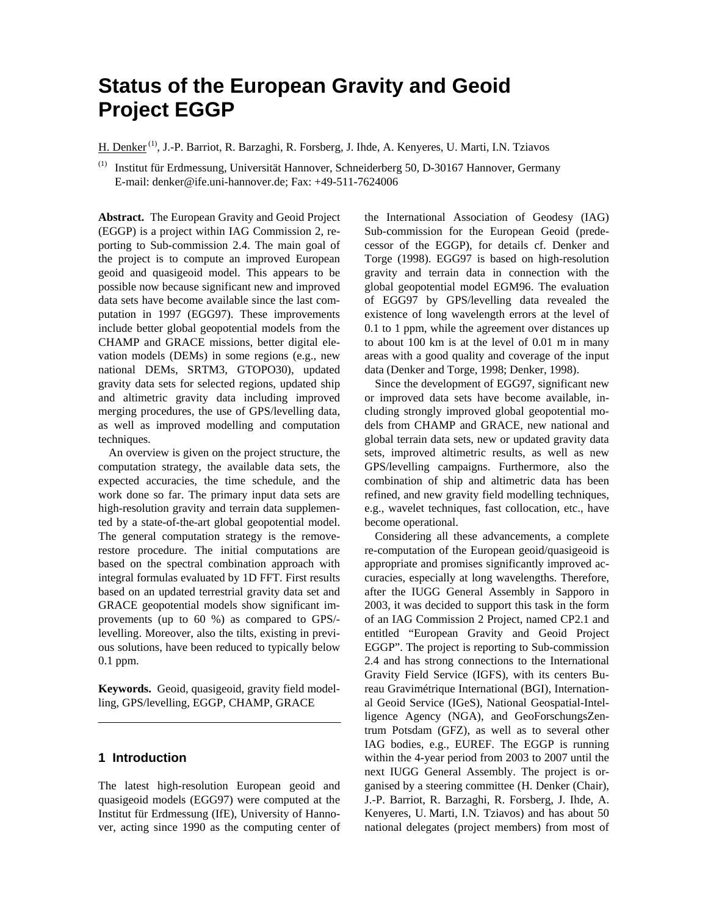# **Status of the European Gravity and Geoid Project EGGP**

H. Denker<sup>(1)</sup>, J.-P. Barriot, R. Barzaghi, R. Forsberg, J. Ihde, A. Kenyeres, U. Marti, I.N. Tziavos

(1) Institut für Erdmessung, Universität Hannover, Schneiderberg 50, D-30167 Hannover, Germany E-mail: denker@ife.uni-hannover.de; Fax: +49-511-7624006

**Abstract.** The European Gravity and Geoid Project (EGGP) is a project within IAG Commission 2, reporting to Sub-commission 2.4. The main goal of the project is to compute an improved European geoid and quasigeoid model. This appears to be possible now because significant new and improved data sets have become available since the last computation in 1997 (EGG97). These improvements include better global geopotential models from the CHAMP and GRACE missions, better digital elevation models (DEMs) in some regions (e.g., new national DEMs, SRTM3, GTOPO30), updated gravity data sets for selected regions, updated ship and altimetric gravity data including improved merging procedures, the use of GPS/levelling data, as well as improved modelling and computation techniques.

An overview is given on the project structure, the computation strategy, the available data sets, the expected accuracies, the time schedule, and the work done so far. The primary input data sets are high-resolution gravity and terrain data supplemented by a state-of-the-art global geopotential model. The general computation strategy is the removerestore procedure. The initial computations are based on the spectral combination approach with integral formulas evaluated by 1D FFT. First results based on an updated terrestrial gravity data set and GRACE geopotential models show significant improvements (up to 60 %) as compared to GPS/ levelling. Moreover, also the tilts, existing in previous solutions, have been reduced to typically below 0.1 ppm.

**Keywords.** Geoid, quasigeoid, gravity field modelling, GPS/levelling, EGGP, CHAMP, GRACE

## **1 Introduction**

The latest high-resolution European geoid and quasigeoid models (EGG97) were computed at the Institut für Erdmessung (IfE), University of Hannover, acting since 1990 as the computing center of the International Association of Geodesy (IAG) Sub-commission for the European Geoid (predecessor of the EGGP), for details cf. Denker and Torge (1998). EGG97 is based on high-resolution gravity and terrain data in connection with the global geopotential model EGM96. The evaluation of EGG97 by GPS/levelling data revealed the existence of long wavelength errors at the level of 0.1 to 1 ppm, while the agreement over distances up to about 100 km is at the level of 0.01 m in many areas with a good quality and coverage of the input data (Denker and Torge, 1998; Denker, 1998).

Since the development of EGG97, significant new or improved data sets have become available, including strongly improved global geopotential models from CHAMP and GRACE, new national and global terrain data sets, new or updated gravity data sets, improved altimetric results, as well as new GPS/levelling campaigns. Furthermore, also the combination of ship and altimetric data has been refined, and new gravity field modelling techniques, e.g., wavelet techniques, fast collocation, etc., have become operational.

Considering all these advancements, a complete re-computation of the European geoid/quasigeoid is appropriate and promises significantly improved accuracies, especially at long wavelengths. Therefore, after the IUGG General Assembly in Sapporo in 2003, it was decided to support this task in the form of an IAG Commission 2 Project, named CP2.1 and entitled "European Gravity and Geoid Project EGGP". The project is reporting to Sub-commission 2.4 and has strong connections to the International Gravity Field Service (IGFS), with its centers Bureau Gravimétrique International (BGI), International Geoid Service (IGeS), National Geospatial-Intelligence Agency (NGA), and GeoForschungsZentrum Potsdam (GFZ), as well as to several other IAG bodies, e.g., EUREF. The EGGP is running within the 4-year period from 2003 to 2007 until the next IUGG General Assembly. The project is organised by a steering committee (H. Denker (Chair), J.-P. Barriot, R. Barzaghi, R. Forsberg, J. Ihde, A. Kenyeres, U. Marti, I.N. Tziavos) and has about 50 national delegates (project members) from most of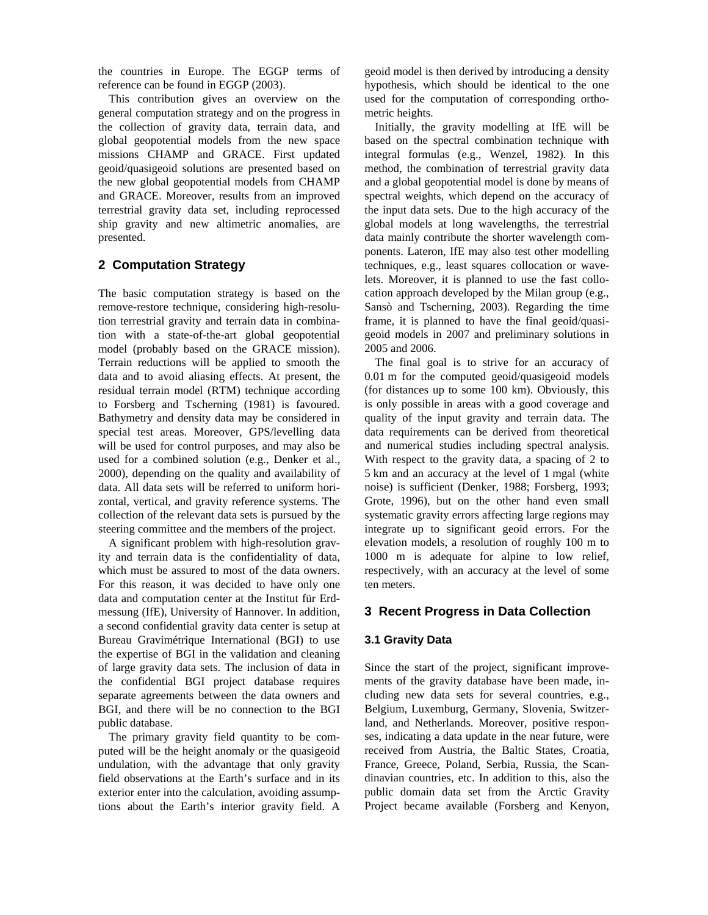the countries in Europe. The EGGP terms of reference can be found in EGGP (2003).

This contribution gives an overview on the general computation strategy and on the progress in the collection of gravity data, terrain data, and global geopotential models from the new space missions CHAMP and GRACE. First updated geoid/quasigeoid solutions are presented based on the new global geopotential models from CHAMP and GRACE. Moreover, results from an improved terrestrial gravity data set, including reprocessed ship gravity and new altimetric anomalies, are presented.

## **2 Computation Strategy**

The basic computation strategy is based on the remove-restore technique, considering high-resolution terrestrial gravity and terrain data in combination with a state-of-the-art global geopotential model (probably based on the GRACE mission). Terrain reductions will be applied to smooth the data and to avoid aliasing effects. At present, the residual terrain model (RTM) technique according to Forsberg and Tscherning (1981) is favoured. Bathymetry and density data may be considered in special test areas. Moreover, GPS/levelling data will be used for control purposes, and may also be used for a combined solution (e.g., Denker et al., 2000), depending on the quality and availability of data. All data sets will be referred to uniform horizontal, vertical, and gravity reference systems. The collection of the relevant data sets is pursued by the steering committee and the members of the project.

A significant problem with high-resolution gravity and terrain data is the confidentiality of data, which must be assured to most of the data owners. For this reason, it was decided to have only one data and computation center at the Institut für Erdmessung (IfE), University of Hannover. In addition, a second confidential gravity data center is setup at Bureau Gravimétrique International (BGI) to use the expertise of BGI in the validation and cleaning of large gravity data sets. The inclusion of data in the confidential BGI project database requires separate agreements between the data owners and BGI, and there will be no connection to the BGI public database.

The primary gravity field quantity to be computed will be the height anomaly or the quasigeoid undulation, with the advantage that only gravity field observations at the Earth's surface and in its exterior enter into the calculation, avoiding assumptions about the Earth's interior gravity field. A

geoid model is then derived by introducing a density hypothesis, which should be identical to the one used for the computation of corresponding orthometric heights.

Initially, the gravity modelling at IfE will be based on the spectral combination technique with integral formulas (e.g., Wenzel, 1982). In this method, the combination of terrestrial gravity data and a global geopotential model is done by means of spectral weights, which depend on the accuracy of the input data sets. Due to the high accuracy of the global models at long wavelengths, the terrestrial data mainly contribute the shorter wavelength components. Lateron, IfE may also test other modelling techniques, e.g., least squares collocation or wavelets. Moreover, it is planned to use the fast collocation approach developed by the Milan group (e.g., Sansò and Tscherning, 2003). Regarding the time frame, it is planned to have the final geoid/quasigeoid models in 2007 and preliminary solutions in 2005 and 2006.

The final goal is to strive for an accuracy of 0.01 m for the computed geoid/quasigeoid models (for distances up to some 100 km). Obviously, this is only possible in areas with a good coverage and quality of the input gravity and terrain data. The data requirements can be derived from theoretical and numerical studies including spectral analysis. With respect to the gravity data, a spacing of 2 to 5 km and an accuracy at the level of 1 mgal (white noise) is sufficient (Denker, 1988; Forsberg, 1993; Grote, 1996), but on the other hand even small systematic gravity errors affecting large regions may integrate up to significant geoid errors. For the elevation models, a resolution of roughly 100 m to 1000 m is adequate for alpine to low relief, respectively, with an accuracy at the level of some ten meters.

## **3 Recent Progress in Data Collection**

## **3.1 Gravity Data**

Since the start of the project, significant improvements of the gravity database have been made, including new data sets for several countries, e.g., Belgium, Luxemburg, Germany, Slovenia, Switzerland, and Netherlands. Moreover, positive responses, indicating a data update in the near future, were received from Austria, the Baltic States, Croatia, France, Greece, Poland, Serbia, Russia, the Scandinavian countries, etc. In addition to this, also the public domain data set from the Arctic Gravity Project became available (Forsberg and Kenyon,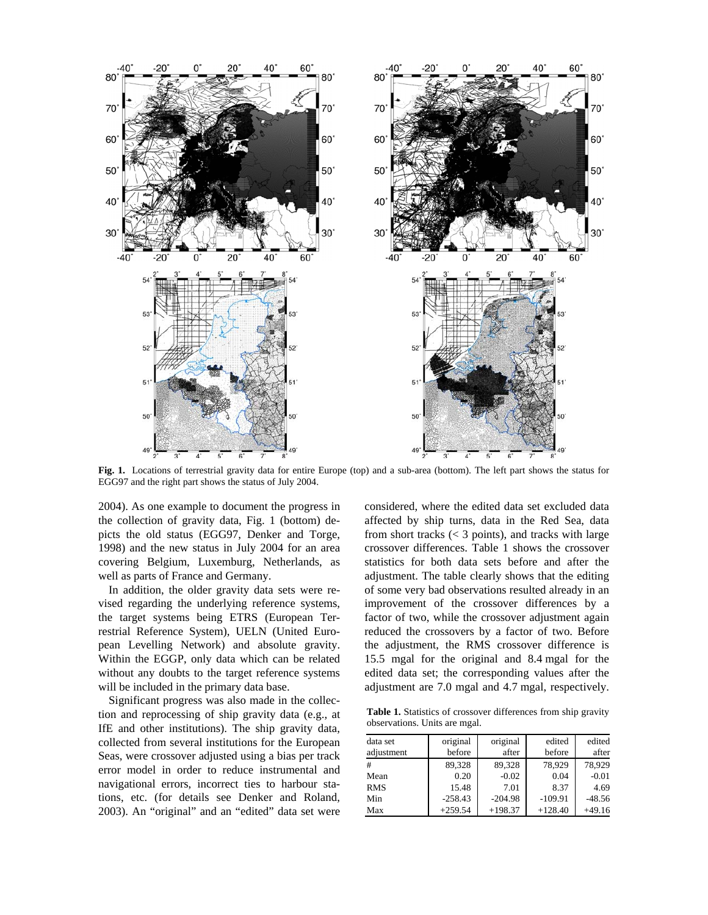

**Fig. 1.** Locations of terrestrial gravity data for entire Europe (top) and a sub-area (bottom). The left part shows the status for EGG97 and the right part shows the status of July 2004.

2004). As one example to document the progress in the collection of gravity data, Fig. 1 (bottom) depicts the old status (EGG97, Denker and Torge, 1998) and the new status in July 2004 for an area covering Belgium, Luxemburg, Netherlands, as well as parts of France and Germany.

In addition, the older gravity data sets were revised regarding the underlying reference systems, the target systems being ETRS (European Terrestrial Reference System), UELN (United European Levelling Network) and absolute gravity. Within the EGGP, only data which can be related without any doubts to the target reference systems will be included in the primary data base.

Significant progress was also made in the collection and reprocessing of ship gravity data (e.g., at IfE and other institutions). The ship gravity data, collected from several institutions for the European Seas, were crossover adjusted using a bias per track error model in order to reduce instrumental and navigational errors, incorrect ties to harbour stations, etc. (for details see Denker and Roland, 2003). An "original" and an "edited" data set were

considered, where the edited data set excluded data affected by ship turns, data in the Red Sea, data from short tracks (< 3 points), and tracks with large crossover differences. Table 1 shows the crossover statistics for both data sets before and after the adjustment. The table clearly shows that the editing of some very bad observations resulted already in an improvement of the crossover differences by a factor of two, while the crossover adjustment again reduced the crossovers by a factor of two. Before the adjustment, the RMS crossover difference is 15.5 mgal for the original and 8.4 mgal for the edited data set; the corresponding values after the adjustment are 7.0 mgal and 4.7 mgal, respectively.

**Table 1.** Statistics of crossover differences from ship gravity observations. Units are mgal.

| data set   | original  | original  | edited    | edited   |
|------------|-----------|-----------|-----------|----------|
| adjustment | before    | after     | before    | after    |
| #          | 89,328    | 89.328    | 78.929    | 78.929   |
| Mean       | 0.20      | $-0.02$   | 0.04      | $-0.01$  |
| <b>RMS</b> | 15.48     | 7.01      | 8.37      | 4.69     |
| Min        | $-258.43$ | $-204.98$ | $-109.91$ | $-48.56$ |
| Max        | $+259.54$ | $+198.37$ | $+128.40$ | $+49.16$ |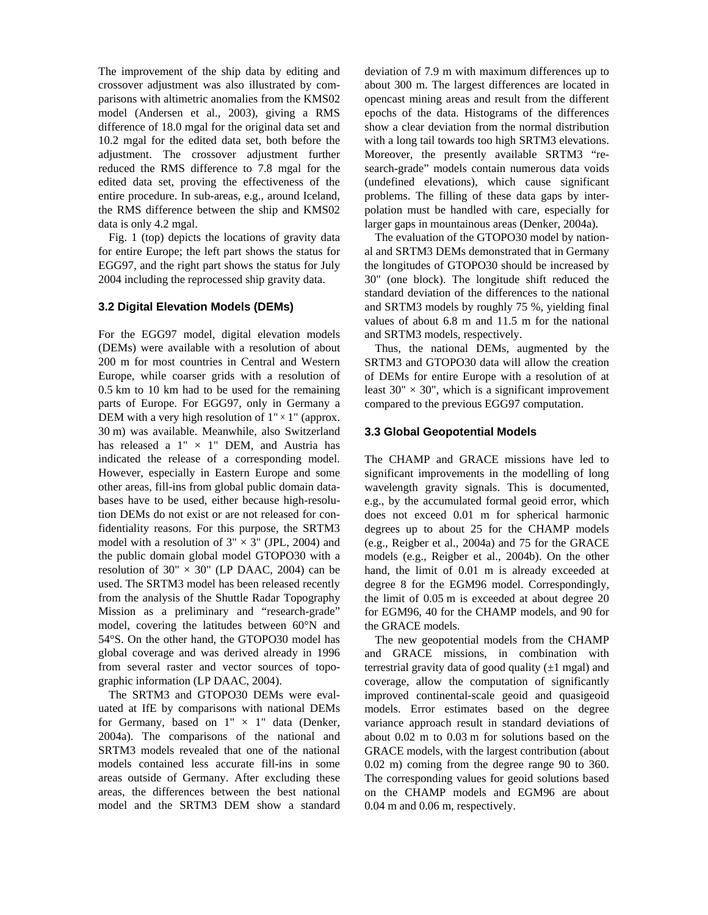The improvement of the ship data by editing and crossover adjustment was also illustrated by comparisons with altimetric anomalies from the KMS02 model (Andersen et al., 2003), giving a RMS difference of 18.0 mgal for the original data set and 10.2 mgal for the edited data set, both before the adjustment. The crossover adjustment further reduced the RMS difference to 7.8 mgal for the edited data set, proving the effectiveness of the entire procedure. In sub-areas, e.g., around Iceland, the RMS difference between the ship and KMS02 data is only 4.2 mgal.

Fig. 1 (top) depicts the locations of gravity data for entire Europe; the left part shows the status for EGG97, and the right part shows the status for July 2004 including the reprocessed ship gravity data.

#### **3.2 Digital Elevation Models (DEMs)**

For the EGG97 model, digital elevation models (DEMs) were available with a resolution of about 200 m for most countries in Central and Western Europe, while coarser grids with a resolution of 0.5 km to 10 km had to be used for the remaining parts of Europe. For EGG97, only in Germany a DEM with a very high resolution of  $1" \times 1"$  (approx. 30 m) was available. Meanwhile, also Switzerland has released a  $1" \times 1"$  DEM, and Austria has indicated the release of a corresponding model. However, especially in Eastern Europe and some other areas, fill-ins from global public domain databases have to be used, either because high-resolution DEMs do not exist or are not released for confidentiality reasons. For this purpose, the SRTM3 model with a resolution of  $3" \times 3"$  (JPL, 2004) and the public domain global model GTOPO30 with a resolution of  $30'' \times 30''$  (LP DAAC, 2004) can be used. The SRTM3 model has been released recently from the analysis of the Shuttle Radar Topography Mission as a preliminary and "research-grade" model, covering the latitudes between 60°N and 54°S. On the other hand, the GTOPO30 model has global coverage and was derived already in 1996 from several raster and vector sources of topographic information (LP DAAC, 2004).

The SRTM3 and GTOPO30 DEMs were evaluated at IfE by comparisons with national DEMs for Germany, based on  $1" \times 1"$  data (Denker, 2004a). The comparisons of the national and SRTM3 models revealed that one of the national models contained less accurate fill-ins in some areas outside of Germany. After excluding these areas, the differences between the best national model and the SRTM3 DEM show a standard deviation of 7.9 m with maximum differences up to about 300 m. The largest differences are located in opencast mining areas and result from the different epochs of the data. Histograms of the differences show a clear deviation from the normal distribution with a long tail towards too high SRTM3 elevations. Moreover, the presently available SRTM3 "research-grade" models contain numerous data voids (undefined elevations), which cause significant problems. The filling of these data gaps by interpolation must be handled with care, especially for larger gaps in mountainous areas (Denker, 2004a).

The evaluation of the GTOPO30 model by national and SRTM3 DEMs demonstrated that in Germany the longitudes of GTOPO30 should be increased by 30" (one block). The longitude shift reduced the standard deviation of the differences to the national and SRTM3 models by roughly 75 %, yielding final values of about 6.8 m and 11.5 m for the national and SRTM3 models, respectively.

Thus, the national DEMs, augmented by the SRTM3 and GTOPO30 data will allow the creation of DEMs for entire Europe with a resolution of at least  $30'' \times 30''$ , which is a significant improvement compared to the previous EGG97 computation.

#### **3.3 Global Geopotential Models**

The CHAMP and GRACE missions have led to significant improvements in the modelling of long wavelength gravity signals. This is documented, e.g., by the accumulated formal geoid error, which does not exceed 0.01 m for spherical harmonic degrees up to about 25 for the CHAMP models (e.g., Reigber et al., 2004a) and 75 for the GRACE models (e.g., Reigber et al., 2004b). On the other hand, the limit of 0.01 m is already exceeded at degree 8 for the EGM96 model. Correspondingly, the limit of 0.05 m is exceeded at about degree 20 for EGM96, 40 for the CHAMP models, and 90 for the GRACE models.

The new geopotential models from the CHAMP and GRACE missions, in combination with terrestrial gravity data of good quality  $(\pm 1 \text{ mgal})$  and coverage, allow the computation of significantly improved continental-scale geoid and quasigeoid models. Error estimates based on the degree variance approach result in standard deviations of about 0.02 m to 0.03 m for solutions based on the GRACE models, with the largest contribution (about 0.02 m) coming from the degree range 90 to 360. The corresponding values for geoid solutions based on the CHAMP models and EGM96 are about 0.04 m and 0.06 m, respectively.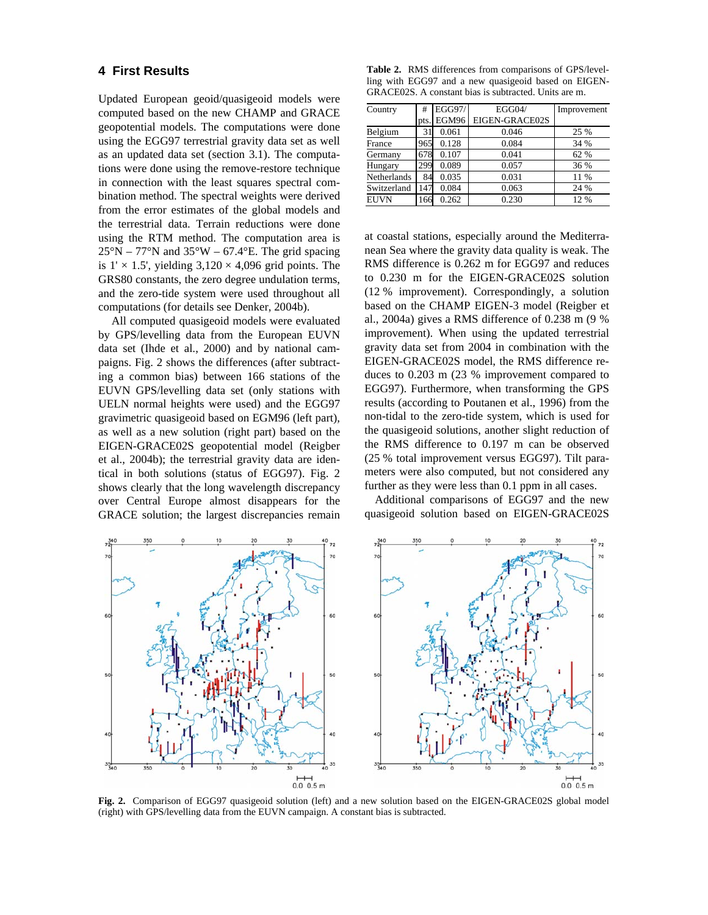## **4 First Results**

Updated European geoid/quasigeoid models were computed based on the new CHAMP and GRACE geopotential models. The computations were done using the EGG97 terrestrial gravity data set as well as an updated data set (section 3.1). The computations were done using the remove-restore technique in connection with the least squares spectral combination method. The spectral weights were derived from the error estimates of the global models and the terrestrial data. Terrain reductions were done using the RTM method. The computation area is  $25^{\circ}$ N – 77°N and 35°W – 67.4°E. The grid spacing is  $1' \times 1.5'$ , yielding  $3,120 \times 4,096$  grid points. The GRS80 constants, the zero degree undulation terms, and the zero-tide system were used throughout all computations (for details see Denker, 2004b).

All computed quasigeoid models were evaluated by GPS/levelling data from the European EUVN data set (Ihde et al., 2000) and by national campaigns. Fig. 2 shows the differences (after subtracting a common bias) between 166 stations of the EUVN GPS/levelling data set (only stations with UELN normal heights were used) and the EGG97 gravimetric quasigeoid based on EGM96 (left part), as well as a new solution (right part) based on the EIGEN-GRACE02S geopotential model (Reigber et al., 2004b); the terrestrial gravity data are identical in both solutions (status of EGG97). Fig. 2 shows clearly that the long wavelength discrepancy over Central Europe almost disappears for the GRACE solution; the largest discrepancies remain

**Table 2.** RMS differences from comparisons of GPS/levelling with EGG97 and a new quasigeoid based on EIGEN-GRACE02S. A constant bias is subtracted. Units are m.

| Country     | #    | EGG97/ | EGG04/         | Improvement |
|-------------|------|--------|----------------|-------------|
|             | pts. | EGM96  | EIGEN-GRACE02S |             |
| Belgium     | 31   | 0.061  | 0.046          | 25 %        |
| France      | 965  | 0.128  | 0.084          | 34 %        |
| Germany     | 678  | 0.107  | 0.041          | 62 %        |
| Hungary     | 299  | 0.089  | 0.057          | 36 %        |
| Netherlands | 84   | 0.035  | 0.031          | 11 %        |
| Switzerland | 147  | 0.084  | 0.063          | 24 %        |
| <b>EUVN</b> | 166  | 0.262  | 0.230          | 12 %        |

at coastal stations, especially around the Mediterranean Sea where the gravity data quality is weak. The RMS difference is 0.262 m for EGG97 and reduces to 0.230 m for the EIGEN-GRACE02S solution (12 % improvement). Correspondingly, a solution based on the CHAMP EIGEN-3 model (Reigber et al., 2004a) gives a RMS difference of 0.238 m (9 % improvement). When using the updated terrestrial gravity data set from 2004 in combination with the EIGEN-GRACE02S model, the RMS difference reduces to 0.203 m (23 % improvement compared to EGG97). Furthermore, when transforming the GPS results (according to Poutanen et al., 1996) from the non-tidal to the zero-tide system, which is used for the quasigeoid solutions, another slight reduction of the RMS difference to 0.197 m can be observed (25 % total improvement versus EGG97). Tilt parameters were also computed, but not considered any further as they were less than 0.1 ppm in all cases.

Additional comparisons of EGG97 and the new quasigeoid solution based on EIGEN-GRACE02S



**Fig. 2.** Comparison of EGG97 quasigeoid solution (left) and a new solution based on the EIGEN-GRACE02S global model (right) with GPS/levelling data from the EUVN campaign. A constant bias is subtracted.